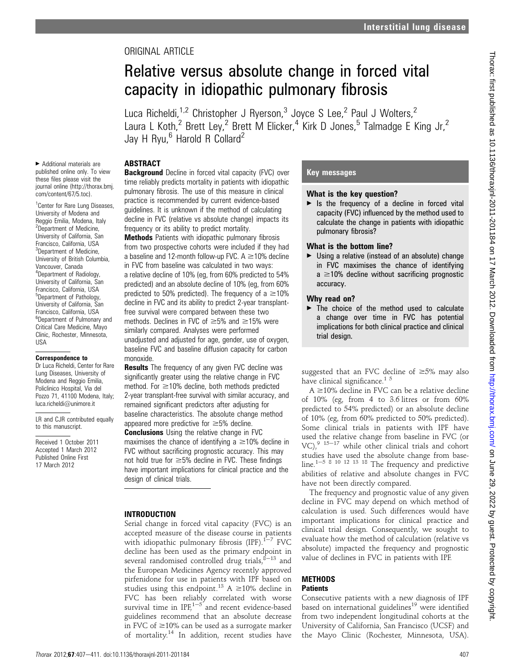# ORIGINAL ARTICLE

# Relative versus absolute change in forced vital capacity in idiopathic pulmonary fibrosis

Luca Richeldi,<sup>1,2</sup> Christopher J Ryerson,<sup>3</sup> Joyce S Lee,<sup>2</sup> Paul J Wolters,<sup>2</sup> Laura L Koth,<sup>2</sup> Brett Ley,<sup>2</sup> Brett M Elicker,<sup>4</sup> Kirk D Jones,<sup>5</sup> Talmadge E King Jr,<sup>2</sup> Jay H Ryu,<sup>6</sup> Harold R Collard<sup>2</sup>

#### ABSTRACT

▶ Additional materials are published online only. To view these files please visit the journal online (http://thorax.bmj. com/content/67/5.toc).

<sup>1</sup> Center for Rare Lung Diseases, University of Modena and Reggio Emilia, Modena, Italy <sup>2</sup>Department of Medicine, University of California, San Francisco, California, USA <sup>3</sup>Department of Medicine, University of British Columbia, Vancouver, Canada 4 Department of Radiology, University of California, San Francisco, California, USA <sup>5</sup>Department of Pathology, University of California, San Francisco, California, USA 6 Department of Pulmonary and Critical Care Medicine, Mayo Clinic, Rochester, Minnesota, USA

#### Correspondence to

Dr Luca Richeldi, Center for Rare Lung Diseases, University of Modena and Reggio Emilia, Policlinico Hospital, Via del Pozzo 71, 41100 Modena, Italy; luca.richeldi@unimore.it

LR and CJR contributed equally to this manuscript.

Received 1 October 2011 Accepted 1 March 2012 Published Online First 17 March 2012

**Background** Decline in forced vital capacity (FVC) over time reliably predicts mortality in patients with idiopathic pulmonary fibrosis. The use of this measure in clinical practice is recommended by current evidence-based guidelines. It is unknown if the method of calculating decline in FVC (relative vs absolute change) impacts its frequency or its ability to predict mortality.

**Methods** Patients with idiopathic pulmonary fibrosis from two prospective cohorts were included if they had a baseline and 12-month follow-up FVC.  $A \geq 10\%$  decline in FVC from baseline was calculated in two ways: a relative decline of 10% (eg, from 60% predicted to 54% predicted) and an absolute decline of 10% (eg, from 60% predicted to 50% predicted). The frequency of a  $\geq$ 10% decline in FVC and its ability to predict 2-year transplantfree survival were compared between these two methods. Declines in FVC of  $\geq$ 5% and  $\geq$ 15% were similarly compared. Analyses were performed unadjusted and adjusted for age, gender, use of oxygen, baseline FVC and baseline diffusion capacity for carbon monoxide.

**Results** The frequency of any given FVC decline was significantly greater using the relative change in FVC method. For  $\geq$  10% decline, both methods predicted 2-year transplant-free survival with similar accuracy, and remained significant predictors after adjusting for baseline characteristics. The absolute change method appeared more predictive for  $\geq$ 5% decline.

**Conclusions** Using the relative change in FVC maximises the chance of identifying a  $\geq$ 10% decline in FVC without sacrificing prognostic accuracy. This may not hold true for  $\geq$ 5% decline in FVC. These findings have important implications for clinical practice and the design of clinical trials.

#### INTRODUCTION

Serial change in forced vital capacity (FVC) is an accepted measure of the disease course in patients with idiopathic pulmonary fibrosis (IPF). $1-\frac{7}{7}$  FVC decline has been used as the primary endpoint in several randomised controlled drug trials,  $8-13$  and the European Medicines Agency recently approved pirfenidone for use in patients with IPF based on studies using this endpoint.<sup>13</sup> A  $\geq$ 10% decline in FVC has been reliably correlated with worse survival time in IPF, $1-5$  and recent evidence-based guidelines recommend that an absolute decrease in FVC of  $\geq$ 10% can be used as a surrogate marker of mortality.14 In addition, recent studies have

#### Key messages

#### What is the key question?

 $\triangleright$  Is the frequency of a decline in forced vital capacity (FVC) influenced by the method used to calculate the change in patients with idiopathic pulmonary fibrosis?

#### What is the bottom line?

 $\triangleright$  Using a relative (instead of an absolute) change in FVC maximises the chance of identifying  $a \geq 10\%$  decline without sacrificing prognostic accuracy.

#### Why read on?

 $\blacktriangleright$  The choice of the method used to calculate a change over time in FVC has potential implications for both clinical practice and clinical trial design.

suggested that an FVC decline of  $\geq 5\%$  may also have clinical significance.<sup>15</sup>

 $A \geq 10\%$  decline in FVC can be a relative decline of 10% (eg, from 4 to 3.6 litres or from 60% predicted to 54% predicted) or an absolute decline of 10% (eg, from 60% predicted to 50% predicted). Some clinical trials in patients with IPF have used the relative change from baseline in FVC (or VC), $915-17$  while other clinical trials and cohort studies have used the absolute change from baseline. $1-5$  8 10 12 13 18 The frequency and predictive abilities of relative and absolute changes in FVC have not been directly compared.

The frequency and prognostic value of any given decline in FVC may depend on which method of calculation is used. Such differences would have important implications for clinical practice and clinical trial design. Consequently, we sought to evaluate how the method of calculation (relative vs absolute) impacted the frequency and prognostic value of declines in FVC in patients with IPF.

#### **METHODS Patients**

Consecutive patients with a new diagnosis of IPF based on international guidelines<sup>19</sup> were identified from two independent longitudinal cohorts at the University of California, San Francisco (UCSF) and the Mayo Clinic (Rochester, Minnesota, USA).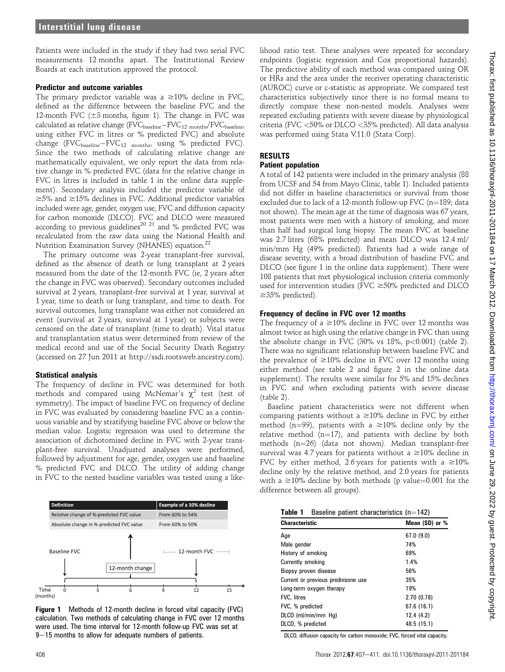Patients were included in the study if they had two serial FVC measurements 12 months apart. The Institutional Review Boards at each institution approved the protocol.

#### Predictor and outcome variables

The primary predictor variable was a  $\geq$ 10% decline in FVC, defined as the difference between the baseline FVC and the 12-month FVC  $(\pm 3 \text{ months}, \text{ figure 1})$ . The change in FVC was calculated as relative change ( $FVC_{baseline}-FVC_{12}$  months/ $FVC_{baseline}$ , using either FVC in litres or % predicted FVC) and absolute change (FVC<sub>baseline</sub>-FVC<sub>12</sub> months, using % predicted FVC). Since the two methods of calculating relative change are mathematically equivalent, we only report the data from relative change in % predicted FVC (data for the relative change in FVC in litres is included in table 1 in the online data supplement). Secondary analysis included the predictor variable of  $\geq$ 5% and  $\geq$ 15% declines in FVC. Additional predictor variables included were age, gender, oxygen use, FVC and diffusion capacity for carbon monoxide (DLCO). FVC and DLCO were measured according to previous guidelines<sup>20</sup>  $^{21}$  and % predicted FVC was recalculated from the raw data using the National Health and Nutrition Examination Survey (NHANES) equation.22

The primary outcome was 2-year transplant-free survival, defined as the absence of death or lung transplant at 2 years measured from the date of the 12-month FVC (ie, 2 years after the change in FVC was observed). Secondary outcomes included survival at 2 years, transplant-free survival at 1 year, survival at 1 year, time to death or lung transplant, and time to death. For survival outcomes, lung transplant was either not considered an event (survival at 2 years, survival at 1 year) or subjects were censored on the date of transplant (time to death). Vital status and transplantation status were determined from review of the medical record and use of the Social Security Death Registry (accessed on 27 Jun 2011 at http://ssdi.rootsweb.ancestry.com).

#### Statistical analysis

The frequency of decline in FVC was determined for both methods and compared using McNemar's  $\chi^2$  test (test of symmetry). The impact of baseline FVC on frequency of decline in FVC was evaluated by considering baseline FVC as a continuous variable and by stratifying baseline FVC above or below the median value. Logistic regression was used to determine the association of dichotomised decline in FVC with 2-year transplant-free survival. Unadjusted analyses were performed, followed by adjustment for age, gender, oxygen use and baseline % predicted FVC and DLCO. The utility of adding change in FVC to the nested baseline variables was tested using a like-



Figure 1 Methods of 12-month decline in forced vital capacity (FVC) calculation. Two methods of calculating change in FVC over 12 months were used. The time interval for 12-month follow-up FVC was set at  $9-15$  months to allow for adequate numbers of patients.

lihood ratio test. These analyses were repeated for secondary endpoints (logistic regression and Cox proportional hazards). The predictive ability of each method was compared using OR or HRs and the area under the receiver operating characteristic (AUROC) curve or c-statistic as appropriate. We compared test characteristics subjectively since there is no formal means to directly compare these non-nested models. Analyses were repeated excluding patients with severe disease by physiological criteria (FVC <50% or DLCO <35% predicted). All data analysis was performed using Stata V.11.0 (Stata Corp).

# RESULTS

#### Patient population

A total of 142 patients were included in the primary analysis (88 from UCSF and 54 from Mayo Clinic, table 1). Included patients did not differ in baseline characteristics or survival from those excluded due to lack of a 12-month follow-up FVC ( $n=189$ ; data not shown). The mean age at the time of diagnosis was 67 years, most patients were men with a history of smoking, and more than half had surgical lung biopsy. The mean FVC at baseline was 2.7 litres (68% predicted) and mean DLCO was 12.4 ml/ min/mm Hg (49% predicted). Patients had a wide range of disease severity, with a broad distribution of baseline FVC and DLCO (see figure 1 in the online data supplement). There were 108 patients that met physiological inclusion criteria commonly used for intervention studies (FVC  $\geq$ 50% predicted and DLCO  $\geq$ 35% predicted).

### Frequency of decline in FVC over 12 months

The frequency of a  $\geq$ 10% decline in FVC over 12 months was almost twice as high using the relative change in FVC than using the absolute change in FVC (30% vs  $18\%$ ,  $p<0.001$ ) (table 2). There was no significant relationship between baseline FVC and the prevalence of  $\geq 10\%$  decline in FVC over 12 months using either method (see table 2 and figure 2 in the online data supplement). The results were similar for 5% and 15% declines in FVC and when excluding patients with severe disease (table 2).

Baseline patient characteristics were not different when comparing patients without a  $\geq 10\%$  decline in FVC by either method (n=99), patients with a  $\geq 10\%$  decline only by the relative method ( $n=17$ ), and patients with decline by both methods (n=26) (data not shown). Median transplant-free survival was 4.7 years for patients without a  $\geq$ 10% decline in FVC by either method, 2.6 years for patients with a  $\geq 10\%$ decline only by the relative method, and 2.0 years for patients with a  $\geq$ 10% decline by both methods (p value=0.001 for the difference between all groups).

| Table 1<br>Baseline patient characteristics $(n=142)$ |                |  |  |
|-------------------------------------------------------|----------------|--|--|
| <b>Characteristic</b>                                 | Mean (SD) or % |  |  |
| Age                                                   | 67.0(9.0)      |  |  |
| Male gender                                           | 74%            |  |  |
| History of smoking                                    | 69%            |  |  |
| Currently smoking                                     | 1.4%           |  |  |
| Biopsy proven disease                                 | 56%            |  |  |
| Current or previous prednisone use                    | 35%            |  |  |
| Long-term oxygen therapy                              | 19%            |  |  |
| <b>FVC, litres</b>                                    | 2.70(0.78)     |  |  |
| FVC, % predicted                                      | 67.6 (16.1)    |  |  |
| DLCO (ml/min/mm Hg)                                   | 12.4 (4.2)     |  |  |
| DLCO, % predicted                                     | 48.5 (15.1)    |  |  |
|                                                       |                |  |  |

DLCO, diffusion capacity for carbon monoxide; FVC, forced vital capacity.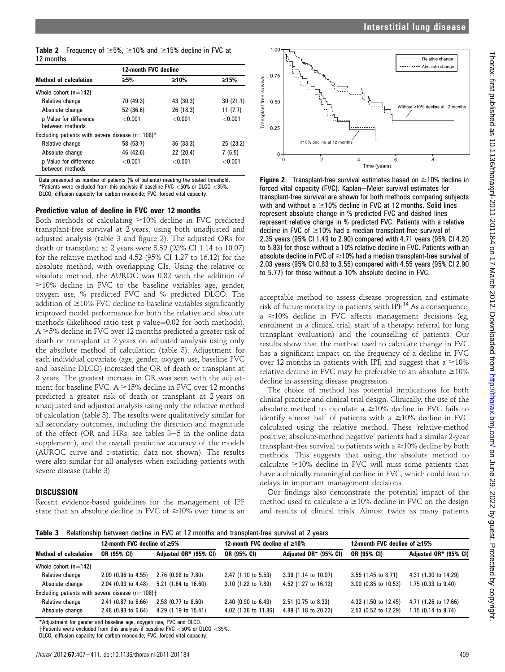|           | <b>Table 2</b> Frequency of $\geq$ 5%, $\geq$ 10% and $\geq$ 15% decline in FVC at |  |  |  |  |
|-----------|------------------------------------------------------------------------------------|--|--|--|--|
| 12 months |                                                                                    |  |  |  |  |

|                                                    | 12-month FVC decline |           |           |  |  |
|----------------------------------------------------|----------------------|-----------|-----------|--|--|
| <b>Method of calculation</b>                       | $\geq 5\%$           | $>10\%$   | >15%      |  |  |
| Whole cohort $(n=142)$                             |                      |           |           |  |  |
| Relative change                                    | 70 (49.3)            | 43 (30.3) | 30(21.1)  |  |  |
| Absolute change                                    | 52 (36.6)            | 26 (18.3) | 11(7.7)   |  |  |
| p Value for difference<br>hetween methods          | < 0.001              | < 0.001   | < 0.001   |  |  |
| Excluding patients with severe disease $(n=108)^*$ |                      |           |           |  |  |
| Relative change                                    | 58 (53.7)            | 36 (33.3) | 25 (23.2) |  |  |
| Absolute change                                    | 46 (42.6)            | 22 (20.4) | 7(6.5)    |  |  |
| p Value for difference<br>between methods          | < 0.001              | < 0.001   | < 0.001   |  |  |

Data presented as number of patients (% of patients) meeting the stated threshold. \*Patients were excluded from this analysis if baseline FVC  $<$  50% or DLCO  $<$  35%.

DLCO, diffusion capacity for carbon monoxide; FVC, forced vital capacity.

## Predictive value of decline in FVC over 12 months

Both methods of calculating  $\geq$ 10% decline in FVC predicted transplant-free survival at 2 years, using both unadjusted and adjusted analysis (table 3 and figure 2). The adjusted ORs for death or transplant at 2 years were 3.39 (95% CI 1.14 to 10.07) for the relative method and 4.52 (95% CI 1.27 to 16.12) for the absolute method, with overlapping CIs. Using the relative or absolute method, the AUROC was 0.82 with the addition of  $\geq$ 10% decline in FVC to the baseline variables age, gender, oxygen use, % predicted FVC and % predicted DLCO. The addition of  $\geq$ 10% FVC decline to baseline variables significantly improved model performance for both the relative and absolute methods (likelihood ratio test  $p$  value $=0.02$  for both methods).  $A \ge 5\%$  decline in FVC over 12 months predicted a greater risk of death or transplant at 2 years on adjusted analysis using only the absolute method of calculation (table 3). Adjustment for each individual covariate (age, gender, oxygen use, baseline FVC and baseline DLCO) increased the OR of death or transplant at 2 years. The greatest increase in OR was seen with the adjustment for baseline FVC. A  $\geq$ 15% decline in FVC over 12 months predicted a greater risk of death or transplant at 2 years on unadjusted and adjusted analysis using only the relative method of calculation (table 3). The results were qualitatively similar for all secondary outcomes, including the direction and magnitude of the effect (OR and HRs; see tables 3-5 in the online data supplement), and the overall predictive accuracy of the models (AUROC curve and c-statistic; data not shown). The results were also similar for all analyses when excluding patients with severe disease (table 3).

# **DISCUSSION**

Recent evidence-based guidelines for the management of IPF state that an absolute decline in FVC of  $\geq$ 10% over time is an



**Figure 2** Transplant-free survival estimates based on  $\geq$ 10% decline in forced vital capacity (FVC). Kaplan-Meier survival estimates for transplant-free survival are shown for both methods comparing subjects with and without a  $\geq$ 10% decline in FVC at 12 months. Solid lines represent absolute change in % predicted FVC and dashed lines represent relative change in % predicted FVC. Patients with a relative decline in FVC of  $\geq$ 10% had a median transplant-free survival of 2.35 years (95% CI 1.49 to 2.90) compared with 4.71 years (95% CI 4.20 to 5.83) for those without a 10% relative decline in FVC. Patients with an absolute decline in FVC of  $\geq$ 10% had a median transplant-free survival of 2.03 years (95% CI 0.83 to 3.55) compared with 4.55 years (95% CI 2.90 to 5.77) for those without a 10% absolute decline in FVC.

acceptable method to assess disease progression and estimate risk of future mortality in patients with IPF.14 As a consequence,  $a \ge 10\%$  decline in FVC affects management decisions (eg, enrolment in a clinical trial, start of a therapy, referral for lung transplant evaluation) and the counselling of patients. Our results show that the method used to calculate change in FVC has a significant impact on the frequency of a decline in FVC over 12 months in patients with IPF, and suggest that a  $\geq$ 10% relative decline in FVC may be preferable to an absolute  $\geq 10\%$ decline in assessing disease progression.

The choice of method has potential implications for both clinical practice and clinical trial design. Clinically, the use of the absolute method to calculate a  $\geq$ 10% decline in FVC fails to identify almost half of patients with a  $\geq$ 10% decline in FVC calculated using the relative method. These 'relative-method positive, absolute-method negative' patients had a similar 2-year transplant-free survival to patients with a  $\geq$ 10% decline by both methods. This suggests that using the absolute method to calculate  $\geq$ 10% decline in FVC will miss some patients that have a clinically meaningful decline in FVC, which could lead to delays in important management decisions.

Our findings also demonstrate the potential impact of the method used to calculate a  $\geq$ 10% decline in FVC on the design and results of clinical trials. Almost twice as many patients

Table 3 Relationship between decline in FVC at 12 months and transplant-free survival at 2 years

| <b>Method of calculation</b>                       | 12-month FVC decline of $\geq 5\%$ |                       | 12-month FVC decline of $\geq 10\%$ |                       | 12-month FVC decline of $\geq 15\%$ |                               |  |
|----------------------------------------------------|------------------------------------|-----------------------|-------------------------------------|-----------------------|-------------------------------------|-------------------------------|--|
|                                                    | OR (95% CI)                        | Adjusted OR* (95% CI) | OR (95% CI)                         | Adjusted OR* (95% CI) | OR (95% CI)                         | Adjusted OR* (95% CI)         |  |
| Whole cohort $(n=142)$                             |                                    |                       |                                     |                       |                                     |                               |  |
| Relative change                                    | $2.09$ (0.96 to 4.55)              | $2.76$ (0.98 to 7.80) | $2.47$ (1.10 to 5.53)               | 3.39 (1.14 to 10.07)  | $3.55$ (1.45 to 8.71)               | 4.31 (1.30 to 14.29)          |  |
| Absolute change                                    | $2.04$ (0.93 to 4.48)              | 5.21 (1.64 to 16.60)  | 3.10 (1.22 to 7.89)                 | 4.52 (1.27 to 16.12)  | 3.00 (0.85 to 10.53)                | $1.75$ (0.33 to 9.40)         |  |
| Excluding patients with severe disease $(n=108)$ + |                                    |                       |                                     |                       |                                     |                               |  |
| Relative change                                    | $2.41$ (0.87 to 6.66)              | $2.58$ (0.77 to 8.60) | $2.40$ (0.90 to 6.43)               | 2.51 (0.75 to 8.33)   | 4.32 (1.50 to 12.45)                | 4.71 (1.26 to 17.66)          |  |
| Absolute change                                    | $2.48$ (0.93 to 6.64)              | 4.29 (1.19 to 15.41)  | 4.02 (1.36 to 11.86)                | 4.89 (1.18 to 20.23)  | 2.53 (0.52 to 12.29)                | $1.15(0.14 \text{ to } 9.74)$ |  |

\*Adjustment for gender and baseline age, oxygen use, FVC and DLCO.

 $\dagger$ Patients were excluded from this analysis if baseline FVC <50% or DLCO <35%.

DLCO, diffusion capacity for carbon monoxide; FVC, forced vital capacity.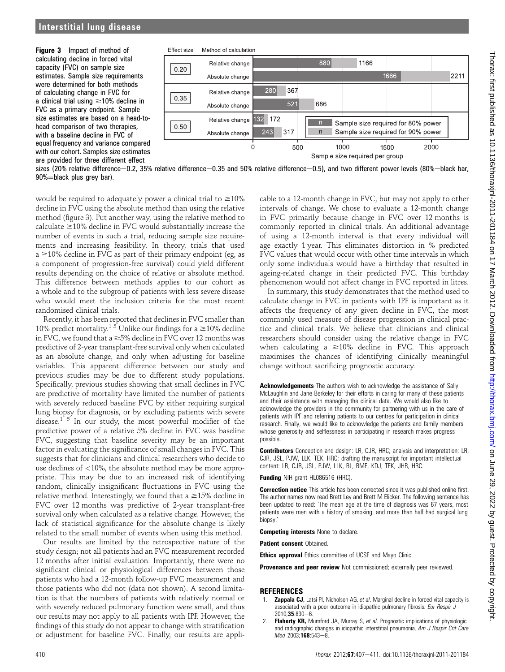Figure 3 Impact of method of calculating decline in forced vital capacity (FVC) on sample size estimates. Sample size requirements were determined for both methods of calculating change in FVC for a clinical trial using  $\geq$  10% decline in FVC as a primary endpoint. Sample size estimates are based on a head-tohead comparison of two therapies, with a baseline decline in FVC of equal frequency and variance compared with our cohort. Samples size estimates are provided for three different effect

Effect size Method of calculation



sizes (20% relative difference=0.2, 35% relative difference=0.35 and 50% relative difference=0.5), and two different power levels (80%=black bar, 90%=black plus grey bar).

would be required to adequately power a clinical trial to  $\geq$ 10% decline in FVC using the absolute method than using the relative method (figure 3). Put another way, using the relative method to calculate  $\geq$ 10% decline in FVC would substantially increase the number of events in such a trial, reducing sample size requirements and increasing feasibility. In theory, trials that used  $a \ge 10\%$  decline in FVC as part of their primary endpoint (eg, as a component of progression-free survival) could yield different results depending on the choice of relative or absolute method. This difference between methods applies to our cohort as a whole and to the subgroup of patients with less severe disease who would meet the inclusion criteria for the most recent randomised clinical trials.

Recently, it has been reported that declines in FVC smaller than 10% predict mortality.<sup>15</sup> Unlike our findings for a  $\geq$ 10% decline in FVC, we found that a  $\geq$ 5% decline in FVC over 12 months was predictive of 2-year transplant-free survival only when calculated as an absolute change, and only when adjusting for baseline variables. This apparent difference between our study and previous studies may be due to different study populations. Specifically, previous studies showing that small declines in FVC are predictive of mortality have limited the number of patients with severely reduced baseline FVC by either requiring surgical lung biopsy for diagnosis, or by excluding patients with severe disease.<sup>1 5</sup> In our study, the most powerful modifier of the predictive power of a relative 5% decline in FVC was baseline FVC, suggesting that baseline severity may be an important factor in evaluating the significance of small changes in FVC. This suggests that for clinicians and clinical researchers who decide to use declines of <10%, the absolute method may be more appropriate. This may be due to an increased risk of identifying random, clinically insignificant fluctuations in FVC using the relative method. Interestingly, we found that a  $\geq$ 15% decline in FVC over 12 months was predictive of 2-year transplant-free survival only when calculated as a relative change. However, the lack of statistical significance for the absolute change is likely related to the small number of events when using this method.

Our results are limited by the retrospective nature of the study design; not all patients had an FVC measurement recorded 12 months after initial evaluation. Importantly, there were no significant clinical or physiological differences between those patients who had a 12-month follow-up FVC measurement and those patients who did not (data not shown). A second limitation is that the numbers of patients with relatively normal or with severely reduced pulmonary function were small, and thus our results may not apply to all patients with IPF. However, the findings of this study do not appear to change with stratification or adjustment for baseline FVC. Finally, our results are applicable to a 12-month change in FVC, but may not apply to other intervals of change. We chose to evaluate a 12-month change in FVC primarily because change in FVC over 12 months is commonly reported in clinical trials. An additional advantage of using a 12-month interval is that every individual will age exactly 1 year. This eliminates distortion in % predicted FVC values that would occur with other time intervals in which only some individuals would have a birthday that resulted in ageing-related change in their predicted FVC. This birthday phenomenon would not affect change in FVC reported in litres.

In summary, this study demonstrates that the method used to calculate change in FVC in patients with IPF is important as it affects the frequency of any given decline in FVC, the most commonly used measure of disease progression in clinical practice and clinical trials. We believe that clinicians and clinical researchers should consider using the relative change in FVC when calculating a  $\geq 10\%$  decline in FVC. This approach maximises the chances of identifying clinically meaningful change without sacrificing prognostic accuracy.

Acknowledgements The authors wish to acknowledge the assistance of Sally McLaughlin and Jane Berkeley for their efforts in caring for many of these patients and their assistance with managing the clinical data. We would also like to acknowledge the providers in the community for partnering with us in the care of patients with IPF and referring patients to our centres for participation in clinical research. Finally, we would like to acknowledge the patients and family members whose generosity and selflessness in participating in research makes progress possible.

Contributors Conception and design: LR, CJR, HRC; analysis and interpretation: LR, CJR, JSL, PJW, LLK, TEK, HRC; drafting the manuscript for important intellectual content: LR, CJR, JSL, PJW, LLK, BL, BME, KDJ, TEK, JHR, HRC.

Funding NIH grant HL086516 (HRC).

Correction notice This article has been corrected since it was published online first. The author names now read Brett Ley and Brett M Elicker. The following sentence has been updated to read: 'The mean age at the time of diagnosis was 67 years, most patients were men with a history of smoking, and more than half had surgical lung biopsy.'

**Competing interests** None to declare.

Patient consent Obtained.

**Ethics approval** Ethics committee of UCSF and Mayo Clinic.

Provenance and peer review Not commissioned; externally peer reviewed.

#### **REFERENCES**

- Zappala CJ, Latsi PI, Nicholson AG, et al. Marginal decline in forced vital capacity is associated with a poor outcome in idiopathic pulmonary fibrosis. Eur Respir J  $2010;$ 35:830-6.
- **Flaherty KR,** Mumford JA, Murray S, et al. Prognostic implications of physiologic and radiographic changes in idiopathic interstitial pneumonia. Am J Respir Crit Care Med 2003;168:543-8.